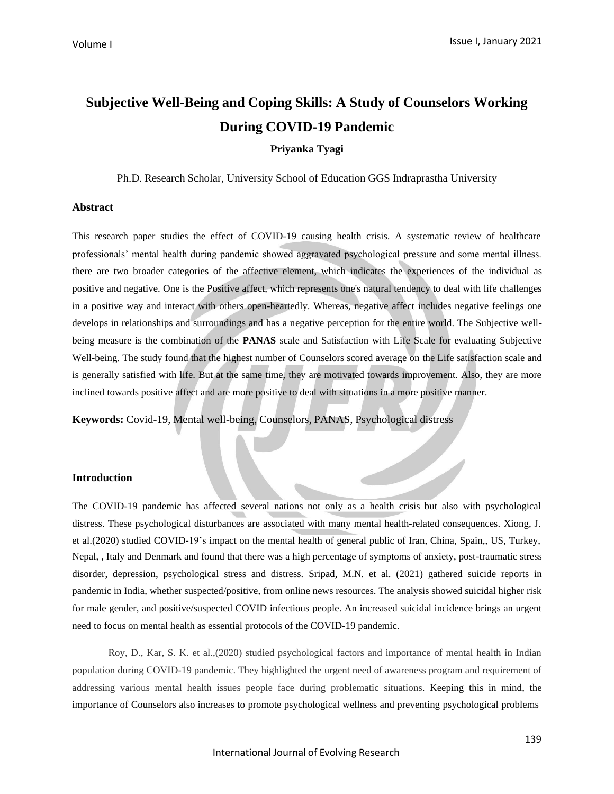# **Subjective Well-Being and Coping Skills: A Study of Counselors Working During COVID-19 Pandemic**

**Priyanka Tyagi**

Ph.D. Research Scholar, University School of Education GGS Indraprastha University

## **Abstract**

This research paper studies the effect of COVID-19 causing health crisis. A systematic review of healthcare professionals' mental health during pandemic showed aggravated psychological pressure and some mental illness. there are two broader categories of the affective element, which indicates the experiences of the individual as positive and negative. One is the Positive affect, which represents one's natural tendency to deal with life challenges in a positive way and interact with others open-heartedly. Whereas, negative affect includes negative feelings one develops in relationships and surroundings and has a negative perception for the entire world. The Subjective wellbeing measure is the combination of the **PANAS** scale and Satisfaction with Life Scale for evaluating Subjective Well-being. The study found that the highest number of Counselors scored average on the Life satisfaction scale and is generally satisfied with life. But at the same time, they are motivated towards improvement. Also, they are more inclined towards positive affect and are more positive to deal with situations in a more positive manner.

**Keywords:** Covid-19, Mental well-being, Counselors, PANAS, Psychological distress

### **Introduction**

Nepal, , Italy and Denmark and found that there was a high percentage of symptoms of anxiety, post-traumatic stress disorder, depression, psychological stress and distress. Sripad, M.N. et al. (2021) gathered suicide reports in pandemic in India, whether suspected/positive, from online news resources. The analysis showed suicidal higher risk for male gender, and positive/suspected COVID infectious people. An increased suicidal incidence brings an urgent need to focus on mental health as essential protocols of the COVID-19 pandemic. The COVID-19 pandemic has affected several nations not only as a health crisis but also with psychological distress. These psychological disturbances are associated with many mental health-related consequences. Xiong, J. et al.(2020) studied COVID-19's impact on the mental health of general public of Iran, China, Spain,, US, Turkey,

Roy, D., Kar, S. K. et al.,(2020) studied psychological factors and importance of mental health in Indian population during COVID-19 pandemic. They highlighted the urgent need of awareness program and requirement of addressing various mental health issues people face during problematic situations. Keeping this in mind, the importance of Counselors also increases to promote psychological wellness and preventing psychological problems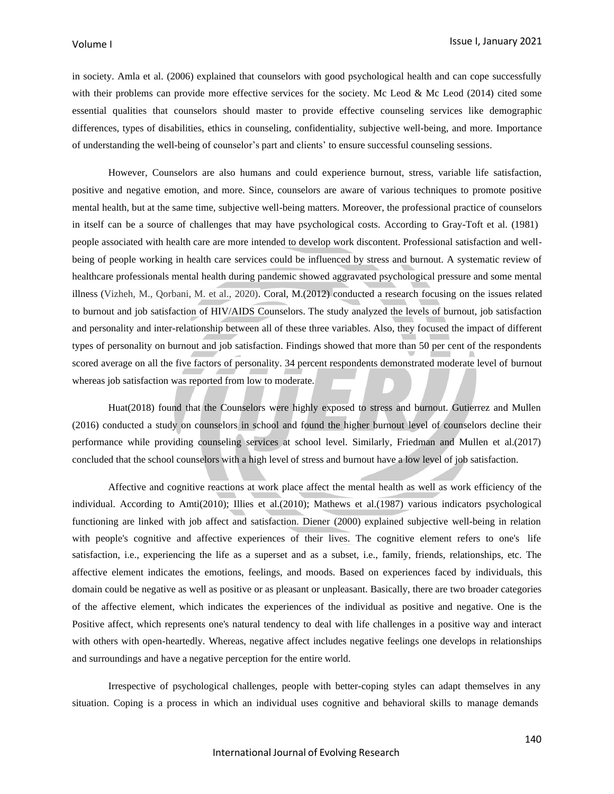in society. Amla et al. (2006) explained that counselors with good psychological health and can cope successfully with their problems can provide more effective services for the society. Mc Leod & Mc Leod (2014) cited some essential qualities that counselors should master to provide effective counseling services like demographic differences, types of disabilities, ethics in counseling, confidentiality, subjective well-being, and more. Importance of understanding the well-being of counselor's part and clients' to ensure successful counseling sessions.

However, Counselors are also humans and could experience burnout, stress, variable life satisfaction, positive and negative emotion, and more. Since, counselors are aware of various techniques to promote positive mental health, but at the same time, subjective well-being matters. Moreover, the professional practice of counselors in itself can be a source of challenges that may have psychological costs. According to Gray-Toft et al. (1981) people associated with health care are more intended to develop work discontent. Professional satisfaction and wellbeing of people working in health care services could be influenced by stress and burnout. A systematic review of healthcare professionals mental health during pandemic showed aggravated psychological pressure and some mental illness (Vizheh, M., Qorbani, M. et al., 2020). Coral, M.(2012) conducted a research focusing on the issues related to burnout and job satisfaction of HIV/AIDS Counselors. The study analyzed the levels of burnout, job satisfaction and personality and inter-relationship between all of these three variables. Also, they focused the impact of different types of personality on burnout and job satisfaction. Findings showed that more than 50 per cent of the respondents scored average on all the five factors of personality. 34 percent respondents demonstrated moderate level of burnout whereas job satisfaction was reported from low to moderate.

Huat(2018) found that the Counselors were highly exposed to stress and burnout. Gutierrez and Mullen (2016) conducted a study on counselors in school and found the higher burnout level of counselors decline their performance while providing counseling services at school level. Similarly, Friedman and Mullen et al.(2017) concluded that the school counselors with a high level of stress and burnout have a low level of job satisfaction.

satisfaction, i.e., experiencing the life as a superset and as a subset, i.e., family, friends, relationships, etc. The affective element indicates the emotions, feelings, and moods. Based on experiences faced by individuals, this domain could be negative as well as positive or as pleasant or unpleasant. Basically, there are two broader categories of the affective element, which indicates the experiences of the individual as positive and negative. One is the Positive affect, which represents one's natural tendency to deal with life challenges in a positive way and interact with others with open-heartedly. Whereas, negative affect includes negative feelings one develops in relationships and surroundings and have a negative perception for the entire world. Affective and cognitive reactions at work place affect the mental health as well as work efficiency of the individual. According to Amti(2010); Illies et al.(2010); Mathews et al.(1987) various indicators psychological functioning are linked with job affect and satisfaction. Diener (2000) explained subjective well-being in relation with people's cognitive and affective experiences of their lives. The cognitive element refers to one's life

Irrespective of psychological challenges, people with better-coping styles can adapt themselves in any situation. Coping is a process in which an individual uses cognitive and behavioral skills to manage demands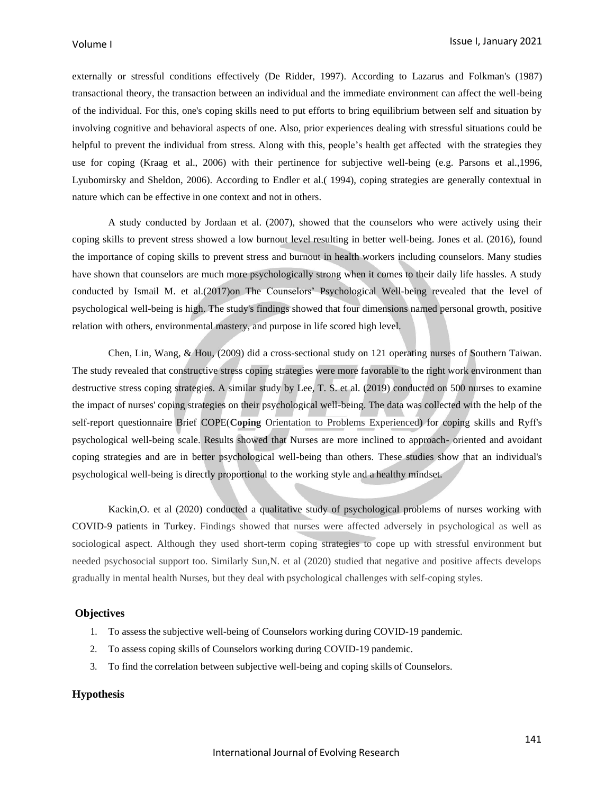externally or stressful conditions effectively (De Ridder, 1997). According to Lazarus and Folkman's (1987) transactional theory, the transaction between an individual and the immediate environment can affect the well-being of the individual. For this, one's coping skills need to put efforts to bring equilibrium between self and situation by involving cognitive and behavioral aspects of one. Also, prior experiences dealing with stressful situations could be helpful to prevent the individual from stress. Along with this, people's health get affected with the strategies they use for coping (Kraag et al., 2006) with their pertinence for subjective well-being (e.g. Parsons et al.,1996, Lyubomirsky and Sheldon, 2006). According to Endler et al.( 1994), coping strategies are generally contextual in nature which can be effective in one context and not in others.

A study conducted by Jordaan et al. (2007), showed that the counselors who were actively using their coping skills to prevent stress showed a low burnout level resulting in better well-being. Jones et al. (2016), found the importance of coping skills to prevent stress and burnout in health workers including counselors. Many studies have shown that counselors are much more psychologically strong when it comes to their daily life hassles. A study conducted by Ismail M. et al.(2017)on The Counselors' Psychological Well-being revealed that the level of psychological well-being is high. The study's findings showed that four dimensions named personal growth, positive relation with others, environmental mastery, and purpose in life scored high level.

Chen, Lin, Wang, & Hou, (2009) did a cross-sectional study on 121 operating nurses of Southern Taiwan. The study revealed that constructive stress coping strategies were more favorable to the right work environment than destructive stress coping strategies. A similar study by Lee, T. S. et al. (2019) conducted on 500 nurses to examine the impact of nurses' coping strategies on their psychological well-being. The data was collected with the help of the self-report questionnaire Brief COPE(**Coping** Orientation to Problems Experienced) for coping skills and Ryff's psychological well-being scale. Results showed that Nurses are more inclined to approach- oriented and avoidant coping strategies and are in better psychological well-being than others. These studies show that an individual's psychological well-being is directly proportional to the working style and a healthy mindset.

Kackin,O. et al (2020) conducted a qualitative study of psychological problems of nurses working with COVID-9 patients in Turkey. Findings showed that nurses were affected adversely in psychological as well as sociological aspect. Although they used short-term coping strategies to cope up with stressful environment but needed psychosocial support too. Similarly Sun,N. et al (2020) studied that negative and positive affects develops gradually in mental health Nurses, but they deal with psychological challenges with self-coping styles.

#### **Objectives**

- 1. To assess the subjective well-being of Counselors working during COVID-19 pandemic.
- 2. To assess coping skills of Counselors working during COVID-19 pandemic.
- 3. To find the correlation between subjective well-being and coping skills of Counselors.

## **Hypothesis**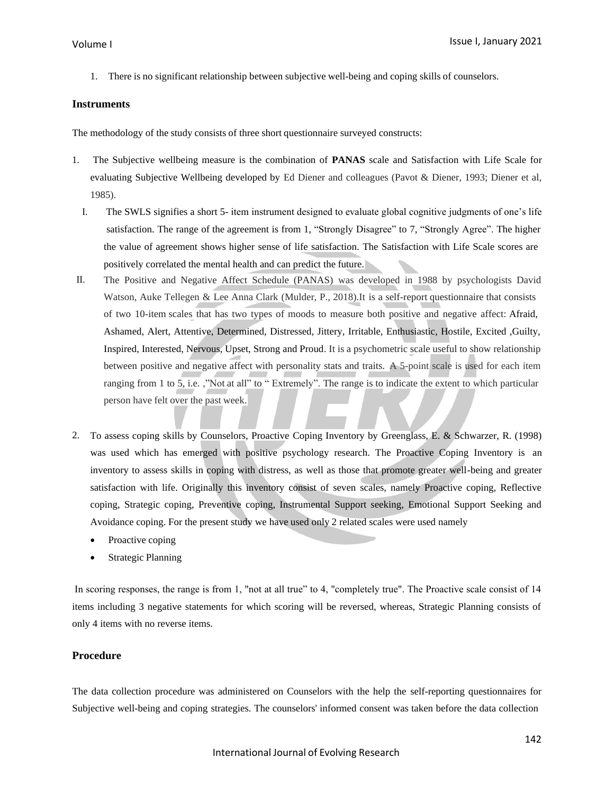1. There is no significant relationship between subjective well-being and coping skills of counselors.

## **Instruments**

The methodology of the study consists of three short questionnaire surveyed constructs:

- 1. The Subjective wellbeing measure is the combination of **PANAS** scale and Satisfaction with Life Scale for evaluating Subjective Wellbeing developed by Ed Diener and colleagues (Pavot & Diener, 1993; Diener et al, 1985).
	- I. The SWLS signifies a short 5- item instrument designed to evaluate global cognitive judgments of one's life satisfaction. The range of the agreement is from 1, "Strongly Disagree" to 7, "Strongly Agree". The higher the value of agreement shows higher sense of life satisfaction. The Satisfaction with Life Scale scores are positively correlated the mental health and can predict the future.
- II. The Positive and Negative Affect Schedule (PANAS) was developed in 1988 by psychologists David Watson, Auke Tellegen & Lee Anna Clark (Mulder, P., 2018).It is a self-report questionnaire that consists of two 10-item scales that has two types of moods to measure both positive and negative affect: Afraid, Ashamed, Alert, Attentive, Determined, Distressed, Jittery, Irritable, Enthusiastic, Hostile, Excited ,Guilty, Inspired, Interested, Nervous, Upset, Strong and Proud. It is a psychometric scale useful to show relationship between positive and negative affect with personality stats and traits. A 5-point scale is used for each item ranging from 1 to 5, i.e. ,"Not at all" to " Extremely". The range is to indicate the extent to which particular person have felt over the past week.
- 2. To assess coping skills by Counselors, Proactive Coping Inventory by Greenglass, E. & Schwarzer, R. (1998) was used which has emerged with positive psychology research. The Proactive Coping Inventory is an inventory to assess skills in coping with distress, as well as those that promote greater well-being and greater satisfaction with life. Originally this inventory consist of seven scales, namely Proactive coping, Reflective coping, Strategic coping, Preventive coping, Instrumental Support seeking, Emotional Support Seeking and Avoidance coping. For the present study we have used only 2 related scales were used namely
	- Proactive coping
	- **Strategic Planning**

In scoring responses, the range is from 1, "not at all true" to 4, "completely true". The Proactive scale consist of 14 items including 3 negative statements for which scoring will be reversed, whereas, Strategic Planning consists of only 4 items with no reverse items.

## **Procedure**

The data collection procedure was administered on Counselors with the help the self-reporting questionnaires for Subjective well-being and coping strategies. The counselors' informed consent was taken before the data collection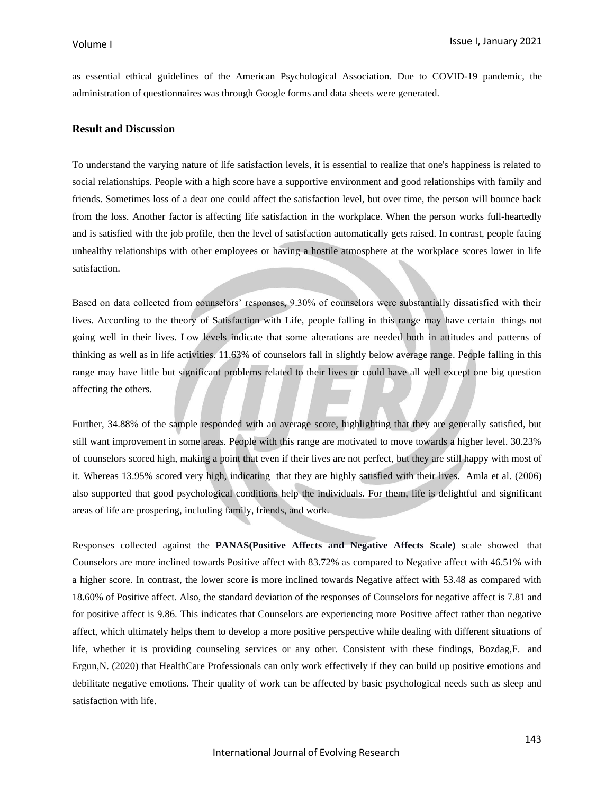as essential ethical guidelines of the American Psychological Association. Due to COVID-19 pandemic, the administration of questionnaires was through Google forms and data sheets were generated.

## **Result and Discussion**

To understand the varying nature of life satisfaction levels, it is essential to realize that one's happiness is related to social relationships. People with a high score have a supportive environment and good relationships with family and friends. Sometimes loss of a dear one could affect the satisfaction level, but over time, the person will bounce back from the loss. Another factor is affecting life satisfaction in the workplace. When the person works full-heartedly and is satisfied with the job profile, then the level of satisfaction automatically gets raised. In contrast, people facing unhealthy relationships with other employees or having a hostile atmosphere at the workplace scores lower in life satisfaction.

Based on data collected from counselors' responses, 9.30% of counselors were substantially dissatisfied with their lives. According to the theory of Satisfaction with Life, people falling in this range may have certain things not going well in their lives. Low levels indicate that some alterations are needed both in attitudes and patterns of thinking as well as in life activities. 11.63% of counselors fall in slightly below average range. People falling in this range may have little but significant problems related to their lives or could have all well except one big question affecting the others.

Further, 34.88% of the sample responded with an average score, highlighting that they are generally satisfied, but still want improvement in some areas. People with this range are motivated to move towards a higher level. 30.23% of counselors scored high, making a point that even if their lives are not perfect, but they are still happy with most of it. Whereas 13.95% scored very high, indicating that they are highly satisfied with their lives. Amla et al. (2006) also supported that good psychological conditions help the individuals. For them, life is delightful and significant areas of life are prospering, including family, friends, and work.

Responses collected against the **PANAS(Positive Affects and Negative Affects Scale)** scale showed that Counselors are more inclined towards Positive affect with 83.72% as compared to Negative affect with 46.51% with a higher score. In contrast, the lower score is more inclined towards Negative affect with 53.48 as compared with 18.60% of Positive affect. Also, the standard deviation of the responses of Counselors for negative affect is 7.81 and for positive affect is 9.86. This indicates that Counselors are experiencing more Positive affect rather than negative affect, which ultimately helps them to develop a more positive perspective while dealing with different situations of life, whether it is providing counseling services or any other. Consistent with these findings, Bozdag,F. and Ergun,N. (2020) that HealthCare Professionals can only work effectively if they can build up positive emotions and debilitate negative emotions. Their quality of work can be affected by basic psychological needs such as sleep and satisfaction with life.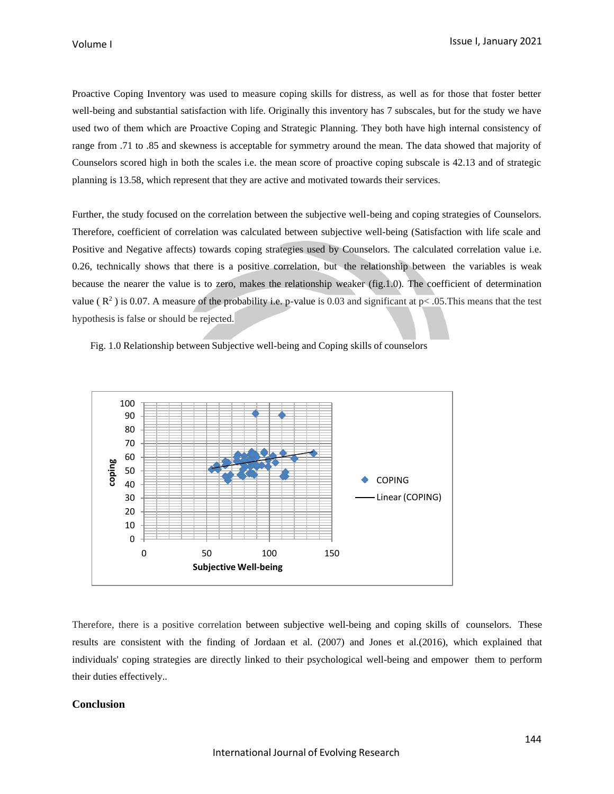Proactive Coping Inventory was used to measure coping skills for distress, as well as for those that foster better well-being and substantial satisfaction with life. Originally this inventory has 7 subscales, but for the study we have used two of them which are Proactive Coping and Strategic Planning. They both have high internal consistency of range from .71 to .85 and skewness is acceptable for symmetry around the mean. The data showed that majority of Counselors scored high in both the scales i.e. the mean score of proactive coping subscale is 42.13 and of strategic planning is 13.58, which represent that they are active and motivated towards their services.

Further, the study focused on the correlation between the subjective well-being and coping strategies of Counselors. Therefore, coefficient of correlation was calculated between subjective well-being (Satisfaction with life scale and Positive and Negative affects) towards coping strategies used by Counselors. The calculated correlation value i.e. 0.26, technically shows that there is a positive correlation, but the relationship between the variables is weak because the nearer the value is to zero, makes the relationship weaker (fig.1.0). The coefficient of determination value ( $\mathbb{R}^2$ ) is 0.07. A measure of the probability i.e. p-value is 0.03 and significant at p< .05. This means that the test hypothesis is false or should be rejected.

Fig. 1.0 Relationship between Subjective well-being and Coping skills of counselors



Therefore, there is a positive correlation between subjective well-being and coping skills of counselors. These results are consistent with the finding of Jordaan et al. (2007) and Jones et al.(2016), which explained that individuals' coping strategies are directly linked to their psychological well-being and empower them to perform their duties effectively..

## **Conclusion**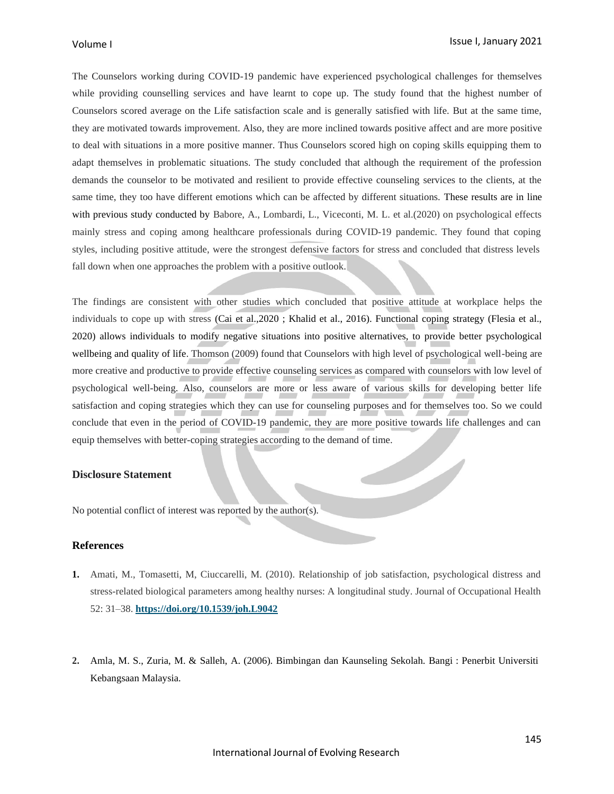The Counselors working during COVID-19 pandemic have experienced psychological challenges for themselves while providing counselling services and have learnt to cope up. The study found that the highest number of Counselors scored average on the Life satisfaction scale and is generally satisfied with life. But at the same time, they are motivated towards improvement. Also, they are more inclined towards positive affect and are more positive to deal with situations in a more positive manner. Thus Counselors scored high on coping skills equipping them to adapt themselves in problematic situations. The study concluded that although the requirement of the profession demands the counselor to be motivated and resilient to provide effective counseling services to the clients, at the same time, they too have different emotions which can be affected by different situations. These results are in line with previous study conducted by Babore, A., Lombardi, L., Viceconti, M. L. et al.(2020) on psychological effects mainly stress and coping among healthcare professionals during COVID-19 pandemic. They found that coping styles, including positive attitude, were the strongest defensive factors for stress and concluded that distress levels fall down when one approaches the problem with a positive outlook.

The findings are consistent with other studies which concluded that positive attitude at workplace helps the individuals to cope up with stress (Cai et al., 2020 ; Khalid et al., 2016). Functional coping strategy (Flesia et al., 2020) allows individuals to modify negative situations into positive alternatives, to provide better psychological wellbeing and quality of life. Thomson (2009) found that Counselors with high level of psychological well-being are more creative and productive to provide effective counseling services as compared with counselors with low level of psychological well-being. Also, counselors are more or less aware of various skills for developing better life satisfaction and coping strategies which they can use for counseling purposes and for themselves too. So we could conclude that even in the period of COVID-19 pandemic, they are more positive towards life challenges and can equip themselves with better-coping strategies according to the demand of time.

## **Disclosure Statement**

No potential conflict of interest was reported by the author(s).

## **References**

- **1.** Amati, M., Tomasetti, M, Ciuccarelli, M. (2010). Relationship of job satisfaction, psychological distress and stress-related biological parameters among healthy nurses: A longitudinal study. Journal of Occupational Health 52: 31–38. **<https://doi.org/10.1539/joh.L9042>**
- **2.** Amla, M. S., Zuria, M. & Salleh, A. (2006). Bimbingan dan Kaunseling Sekolah. Bangi : Penerbit Universiti Kebangsaan Malaysia.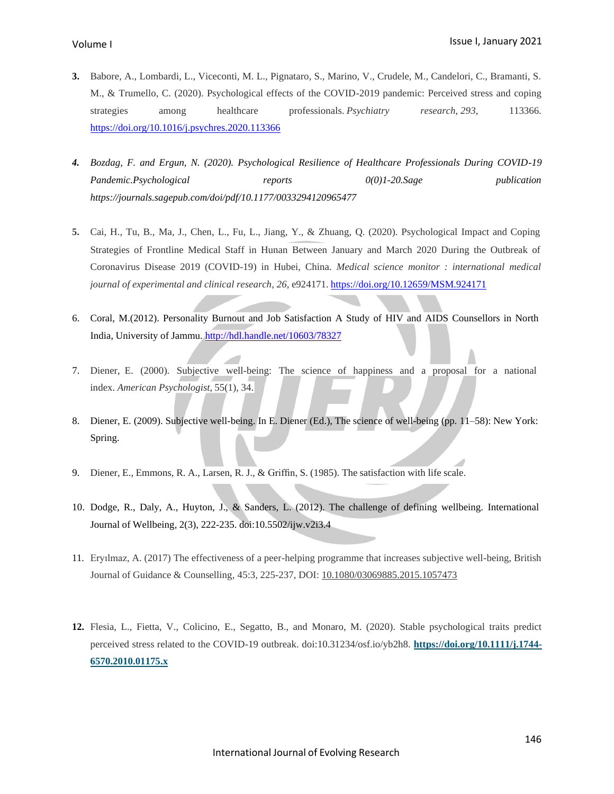- **3.** Babore, A., Lombardi, L., Viceconti, M. L., Pignataro, S., Marino, V., Crudele, M., Candelori, C., Bramanti, S. M., & Trumello, C. (2020). Psychological effects of the COVID-2019 pandemic: Perceived stress and coping strategies among healthcare professionals. *Psychiatry research*, *293*, 113366. <https://doi.org/10.1016/j.psychres.2020.113366>
- *4. Bozdag, F. and Ergun, N. (2020). Psychological Resilience of Healthcare Professionals During COVID-19 Pandemic.Psychological reports 0(0)1-20.Sage publication https://journals.sagepub.com/doi/pdf/10.1177/0033294120965477*
- Strategies of Frontline Medical Staff in Hunan Between January and March 2020 During the Outbreak of Coronavirus Disease 2019 (COVID-19) in Hubei, China. *Medical science monitor : international medical journal of experimental and clinical research*, *26*, e924171. <https://doi.org/10.12659/MSM.924171> **5.** Cai, H., Tu, B., Ma, J., Chen, L., Fu, L., Jiang, Y., & Zhuang, Q. (2020). Psychological Impact and Coping
- 6. Coral, M.(2012). Personality Burnout and Job Satisfaction A Study of HIV and AIDS Counsellors in North India, University of Jammu. <http://hdl.handle.net/10603/78327>
- 7. Diener, E. (2000). Subjective well-being: The science of happiness and a proposal for a national index. *American Psychologist*, 55(1), 34.
- 8. Diener, E. (2009). Subjective well-being. In E. Diener (Ed.), The science of well-being (pp. 11–58): New York: Spring.
- 9. Diener, E., Emmons, R. A., Larsen, R. J., & Griffin, S. (1985). The satisfaction with life scale.
- 10. Dodge, R., Daly, A., Huyton, J., & Sanders, L. (2012). The challenge of defining wellbeing. International Journal of Wellbeing, 2(3), 222-235. doi:10.5502/ijw.v2i3.4
- 11. Eryılmaz, A. (2017) The effectiveness of a peer-helping programme that increases subjective well-being, British Journal of Guidance & Counselling, 45:3, 225-237, DOI: [10.1080/03069885.2015.1057473](https://doi.org/10.1080/03069885.2015.1057473)
- **12.** Flesia, L., Fietta, V., Colicino, E., Segatto, B., and Monaro, M. (2020). Stable psychological traits predict perceived stress related to the COVID-19 outbreak. doi:10.31234/osf.io/yb2h8. **[https://doi.org/10.1111/j.1744-](https://doi.org/10.1111/j.1744-6570.2010.01175.x) [6570.2010.01175.x](https://doi.org/10.1111/j.1744-6570.2010.01175.x)**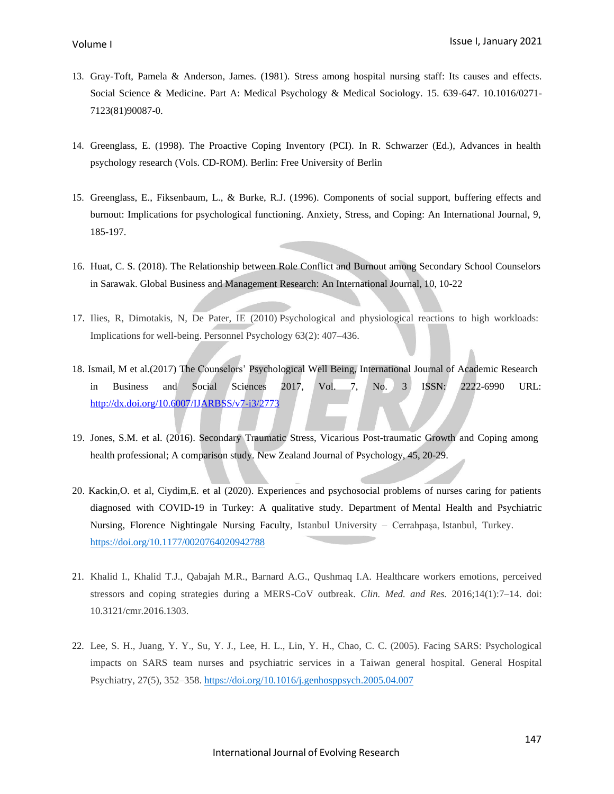- 13. Gray-Toft, Pamela & Anderson, James. (1981). Stress among hospital nursing staff: Its causes and effects. Social Science & Medicine. Part A: Medical Psychology & Medical Sociology. 15. 639-647. 10.1016/0271- 7123(81)90087-0.
- 14. Greenglass, E. (1998). The Proactive Coping Inventory (PCI). In R. Schwarzer (Ed.), Advances in health psychology research (Vols. CD-ROM). Berlin: Free University of Berlin
- 15. Greenglass, E., Fiksenbaum, L., & Burke, R.J. (1996). Components of social support, buffering effects and burnout: Implications for psychological functioning. Anxiety, Stress, and Coping: An International Journal, 9, 185-197.
- 16. Huat, C. S. (2018). The Relationship between Role Conflict and Burnout among Secondary School Counselors in Sarawak. Global Business and Management Research: An International Journal, 10, 10-22
- 17. Ilies, R, Dimotakis, N, De Pater, IE (2010) Psychological and physiological reactions to high workloads: Implications for well-being. Personnel Psychology 63(2): 407–436.
- 18. Ismail, M et al.(2017) The Counselors' Psychological Well Being, International Journal of Academic Research in Business and Social Sciences 2017, Vol. 7, No. 3 ISSN: 2222-6990 URL: <http://dx.doi.org/10.6007/IJARBSS/v7-i3/2773>
- 19. Jones, S.M. et al. (2016). Secondary Traumatic Stress, Vicarious Post-traumatic Growth and Coping among health professional; A comparison study. New Zealand Journal of Psychology, 45, 20-29.
- 20. Kackin,O. et al, Ciydim,E. et al (2020). Experiences and psychosocial problems of nurses caring for patients diagnosed with COVID-19 in Turkey: A qualitative study. Department of Mental Health and Psychiatric Nursing, Florence Nightingale Nursing Faculty, Istanbul University – Cerrahpaşa, Istanbul, Turkey. [https://doi.org/10.1177/0020764020942788](https://doi.org/10.1177%2F0020764020942788)
- 21. Khalid I., Khalid T.J., Qabajah M.R., Barnard A.G., Qushmaq I.A. Healthcare workers emotions, perceived stressors and coping strategies during a MERS-CoV outbreak. *Clin. Med. and Res.* 2016;14(1):7–14. doi: 10.3121/cmr.2016.1303.
- 22. Lee, S. H., Juang, Y. Y., Su, Y. J., Lee, H. L., Lin, Y. H., Chao, C. C. (2005). Facing SARS: Psychological impacts on SARS team nurses and psychiatric services in a Taiwan general hospital. General Hospital Psychiatry, 27(5), 352–358. <https://doi.org/10.1016/j.genhosppsych.2005.04.007>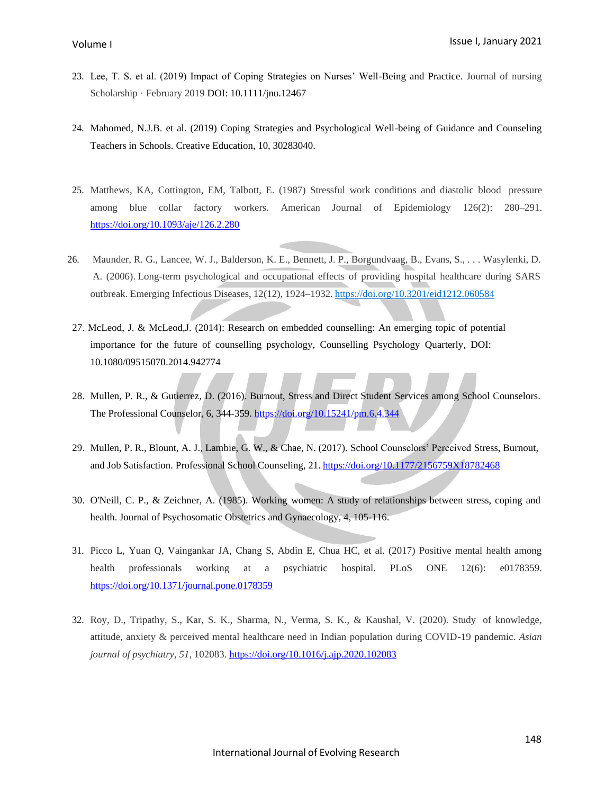- 23. Lee, T. S. et al. (2019) Impact of Coping Strategies on Nurses' Well-Being and Practice. Journal of nursing Scholarship · February 2019 DOI: 10.1111/jnu.12467
- 24. Mahomed, N.J.B. et al. (2019) Coping Strategies and Psychological Well-being of Guidance and Counseling Teachers in Schools. Creative Education, 10, 30283040.
- 25. Matthews, KA, Cottington, EM, Talbott, E. (1987) Stressful work conditions and diastolic blood pressure among blue collar factory workers. American Journal of Epidemiology 126(2): 280–291. <https://doi.org/10.1093/aje/126.2.280>
- 26. Maunder, R. G., Lancee, W. J., Balderson, K. E., Bennett, J. P., Borgundvaag, B., Evans, S., . . . Wasylenki, D. A. (2006). Long-term psychological and occupational effects of providing hospital healthcare during SARS outbreak. Emerging Infectious Diseases, 12(12), 1924–1932. <https://doi.org/10.3201/eid1212.060584>
- 27. McLeod, J. & McLeod,J. (2014): Research on embedded counselling: An emerging topic of potential importance for the future of counselling psychology, Counselling Psychology Quarterly, DOI: 10.1080/09515070.2014.942774
- 28. Mullen, P. R., & Gutierrez, D. (2016). Burnout, Stress and Direct Student Services among School Counselors. The Professional Counselor, 6, 344-359. <https://doi.org/10.15241/pm.6.4.344>
- 29. Mullen, P. R., Blount, A. J., Lambie, G. W., & Chae, N. (2017). School Counselors' Perceived Stress, Burnout, and Job Satisfaction. Professional School Counseling, 21. <https://doi.org/10.1177/2156759X18782468>
- 30. O'Neill, C. P., & Zeichner, A. (1985). Working women: A study of relationships between stress, coping and health. Journal of Psychosomatic Obstetrics and Gynaecology, 4, 105-116.
- 31. Picco L, Yuan Q, Vaingankar JA, Chang S, Abdin E, Chua HC, et al. (2017) Positive mental health among health professionals working at a psychiatric hospital. PLoS ONE 12(6): e0178359. <https://doi.org/10.1371/journal.pone.0178359>
- 32. Roy, D., Tripathy, S., Kar, S. K., Sharma, N., Verma, S. K., & Kaushal, V. (2020). Study of knowledge, attitude, anxiety & perceived mental healthcare need in Indian population during COVID-19 pandemic. *Asian journal of psychiatry*, *51*, 102083. <https://doi.org/10.1016/j.ajp.2020.102083>